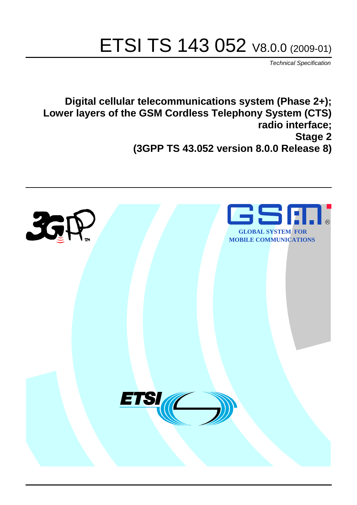# ETSI TS 143 052 V8.0.0 (2009-01)

*Technical Specification*

**Digital cellular telecommunications system (Phase 2+); Lower layers of the GSM Cordless Telephony System (CTS) radio interface; Stage 2 (3GPP TS 43.052 version 8.0.0 Release 8)**

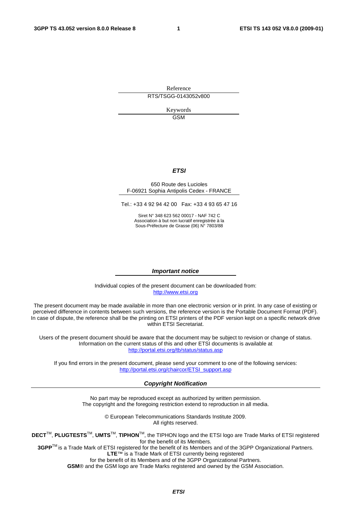Reference RTS/TSGG-0143052v800

> Keywords GSM

#### *ETSI*

#### 650 Route des Lucioles F-06921 Sophia Antipolis Cedex - FRANCE

Tel.: +33 4 92 94 42 00 Fax: +33 4 93 65 47 16

Siret N° 348 623 562 00017 - NAF 742 C Association à but non lucratif enregistrée à la Sous-Préfecture de Grasse (06) N° 7803/88

#### *Important notice*

Individual copies of the present document can be downloaded from: [http://www.etsi.org](http://www.etsi.org/)

The present document may be made available in more than one electronic version or in print. In any case of existing or perceived difference in contents between such versions, the reference version is the Portable Document Format (PDF). In case of dispute, the reference shall be the printing on ETSI printers of the PDF version kept on a specific network drive within ETSI Secretariat.

Users of the present document should be aware that the document may be subject to revision or change of status. Information on the current status of this and other ETSI documents is available at <http://portal.etsi.org/tb/status/status.asp>

If you find errors in the present document, please send your comment to one of the following services: [http://portal.etsi.org/chaircor/ETSI\\_support.asp](http://portal.etsi.org/chaircor/ETSI_support.asp)

#### *Copyright Notification*

No part may be reproduced except as authorized by written permission. The copyright and the foregoing restriction extend to reproduction in all media.

> © European Telecommunications Standards Institute 2009. All rights reserved.

**DECT**TM, **PLUGTESTS**TM, **UMTS**TM, **TIPHON**TM, the TIPHON logo and the ETSI logo are Trade Marks of ETSI registered for the benefit of its Members.

**3GPP**TM is a Trade Mark of ETSI registered for the benefit of its Members and of the 3GPP Organizational Partners. **LTE**™ is a Trade Mark of ETSI currently being registered

for the benefit of its Members and of the 3GPP Organizational Partners.

**GSM**® and the GSM logo are Trade Marks registered and owned by the GSM Association.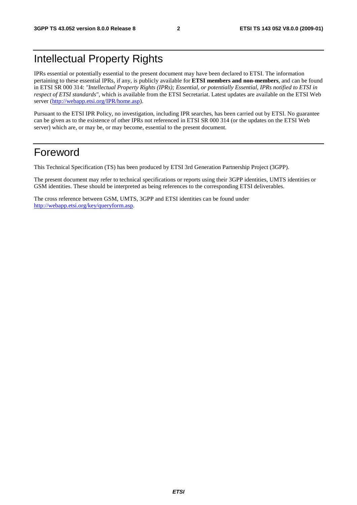## Intellectual Property Rights

IPRs essential or potentially essential to the present document may have been declared to ETSI. The information pertaining to these essential IPRs, if any, is publicly available for **ETSI members and non-members**, and can be found in ETSI SR 000 314: *"Intellectual Property Rights (IPRs); Essential, or potentially Essential, IPRs notified to ETSI in respect of ETSI standards"*, which is available from the ETSI Secretariat. Latest updates are available on the ETSI Web server [\(http://webapp.etsi.org/IPR/home.asp\)](http://webapp.etsi.org/IPR/home.asp).

Pursuant to the ETSI IPR Policy, no investigation, including IPR searches, has been carried out by ETSI. No guarantee can be given as to the existence of other IPRs not referenced in ETSI SR 000 314 (or the updates on the ETSI Web server) which are, or may be, or may become, essential to the present document.

### Foreword

This Technical Specification (TS) has been produced by ETSI 3rd Generation Partnership Project (3GPP).

The present document may refer to technical specifications or reports using their 3GPP identities, UMTS identities or GSM identities. These should be interpreted as being references to the corresponding ETSI deliverables.

The cross reference between GSM, UMTS, 3GPP and ETSI identities can be found under [http://webapp.etsi.org/key/queryform.asp.](http://webapp.etsi.org/key/queryform.asp)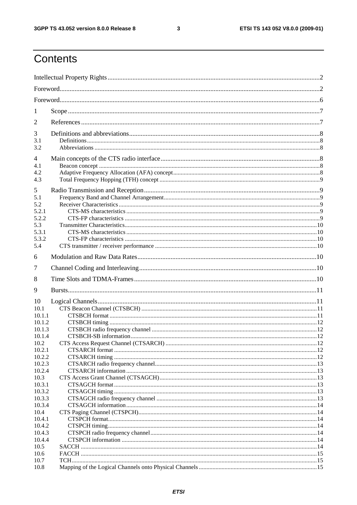$\mathbf{3}$ 

## Contents

| 1                |  |  |  |  |
|------------------|--|--|--|--|
| $\overline{2}$   |  |  |  |  |
| 3                |  |  |  |  |
| 3.1<br>3.2       |  |  |  |  |
| 4                |  |  |  |  |
| 4.1              |  |  |  |  |
| 4.2              |  |  |  |  |
| 4.3              |  |  |  |  |
| 5<br>5.1         |  |  |  |  |
| 5.2              |  |  |  |  |
| 5.2.1            |  |  |  |  |
| 5.2.2            |  |  |  |  |
| 5.3              |  |  |  |  |
| 5.3.1            |  |  |  |  |
| 5.3.2<br>5.4     |  |  |  |  |
|                  |  |  |  |  |
| 6                |  |  |  |  |
| 7                |  |  |  |  |
|                  |  |  |  |  |
| 8                |  |  |  |  |
| 9                |  |  |  |  |
| 10               |  |  |  |  |
| 10.1             |  |  |  |  |
| 10.1.1           |  |  |  |  |
| 10.1.2           |  |  |  |  |
| 10.1.3           |  |  |  |  |
| 10.1.4           |  |  |  |  |
| 10.2             |  |  |  |  |
| 10.2.1           |  |  |  |  |
| 10.2.2<br>10.2.3 |  |  |  |  |
| 10.2.4           |  |  |  |  |
| 10.3             |  |  |  |  |
| 10.3.1           |  |  |  |  |
| 10.3.2           |  |  |  |  |
| 10.3.3           |  |  |  |  |
| 10.3.4           |  |  |  |  |
| 10.4             |  |  |  |  |
| 10.4.1<br>10.4.2 |  |  |  |  |
| 10.4.3           |  |  |  |  |
| 10.4.4           |  |  |  |  |
| 10.5             |  |  |  |  |
| 10.6             |  |  |  |  |
| 10.7<br>10.8     |  |  |  |  |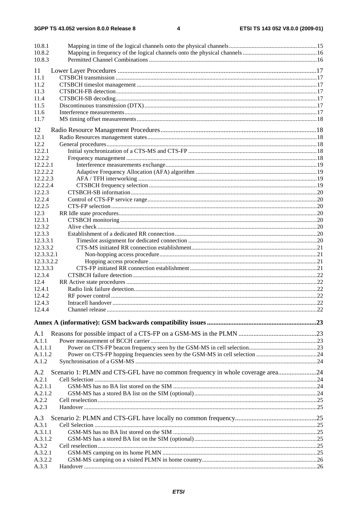3GPP TS 43.052 version 8.0.0 Release 8

 $\overline{\mathbf{4}}$ 

| 10.8.1<br>10.8.2<br>10.8.3 |                                                                                |  |
|----------------------------|--------------------------------------------------------------------------------|--|
|                            |                                                                                |  |
| 11<br>11.1                 |                                                                                |  |
| 11.2                       |                                                                                |  |
| 11.3                       |                                                                                |  |
| 11.4                       |                                                                                |  |
| 11.5                       |                                                                                |  |
| 11.6                       |                                                                                |  |
| 11.7                       |                                                                                |  |
|                            |                                                                                |  |
| 12                         |                                                                                |  |
| 12.1                       |                                                                                |  |
| 12.2                       |                                                                                |  |
| 12.2.1                     |                                                                                |  |
| 12.2.2                     |                                                                                |  |
| 12.2.2.1                   |                                                                                |  |
| 12.2.2.2                   |                                                                                |  |
| 12.2.2.3                   |                                                                                |  |
| 12.2.2.4                   |                                                                                |  |
| 12.2.3                     |                                                                                |  |
| 12.2.4                     |                                                                                |  |
| 12.2.5                     |                                                                                |  |
| 12.3                       |                                                                                |  |
| 12.3.1                     |                                                                                |  |
| 12.3.2                     |                                                                                |  |
| 12.3.3                     |                                                                                |  |
| 12.3.3.1                   |                                                                                |  |
| 12.3.3.2                   |                                                                                |  |
| 12.3.3.2.1                 |                                                                                |  |
| 12.3.3.2.2                 |                                                                                |  |
| 12.3.3.3                   |                                                                                |  |
| 12.3.4                     |                                                                                |  |
| 12.4<br>12.4.1             |                                                                                |  |
| 12.4.2                     |                                                                                |  |
| 12.4.3                     |                                                                                |  |
| 12.4.4                     |                                                                                |  |
|                            |                                                                                |  |
|                            |                                                                                |  |
| A.1                        |                                                                                |  |
| A.1.1                      |                                                                                |  |
| A.1.1.1                    |                                                                                |  |
| A.1.1.2                    |                                                                                |  |
| A.1.2                      |                                                                                |  |
|                            |                                                                                |  |
| A.2                        | Scenario 1: PLMN and CTS-GFL have no common frequency in whole coverage area24 |  |
| A.2.1                      |                                                                                |  |
| A.2.1.1                    |                                                                                |  |
| A.2.1.2                    |                                                                                |  |
| A.2.2                      |                                                                                |  |
| A.2.3                      |                                                                                |  |
| A.3                        |                                                                                |  |
| A.3.1                      |                                                                                |  |
| A.3.1.1                    |                                                                                |  |
| A.3.1.2                    |                                                                                |  |
| A.3.2                      |                                                                                |  |
| A.3.2.1                    |                                                                                |  |
| A.3.2.2                    |                                                                                |  |
| A.3.3                      |                                                                                |  |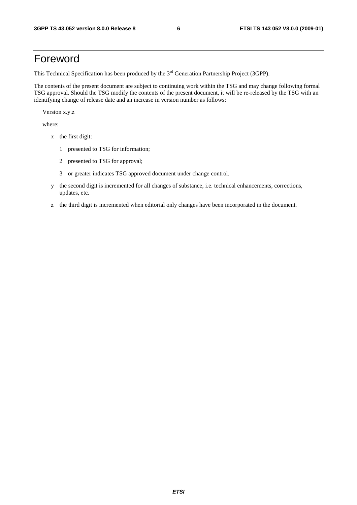## Foreword

This Technical Specification has been produced by the 3<sup>rd</sup> Generation Partnership Project (3GPP).

The contents of the present document are subject to continuing work within the TSG and may change following formal TSG approval. Should the TSG modify the contents of the present document, it will be re-released by the TSG with an identifying change of release date and an increase in version number as follows:

Version x.y.z

where:

- x the first digit:
	- 1 presented to TSG for information;
	- 2 presented to TSG for approval;
	- 3 or greater indicates TSG approved document under change control.
- y the second digit is incremented for all changes of substance, i.e. technical enhancements, corrections, updates, etc.
- z the third digit is incremented when editorial only changes have been incorporated in the document.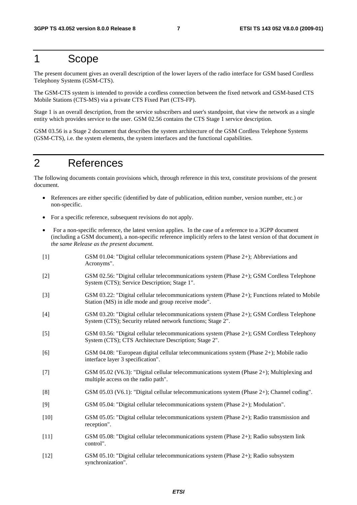### 1 Scope

The present document gives an overall description of the lower layers of the radio interface for GSM based Cordless Telephony Systems (GSM-CTS).

The GSM-CTS system is intended to provide a cordless connection between the fixed network and GSM-based CTS Mobile Stations (CTS-MS) via a private CTS Fixed Part (CTS-FP).

Stage 1 is an overall description, from the service subscribers and user's standpoint, that view the network as a single entity which provides service to the user. GSM 02.56 contains the CTS Stage 1 service description.

GSM 03.56 is a Stage 2 document that describes the system architecture of the GSM Cordless Telephone Systems (GSM-CTS), i.e. the system elements, the system interfaces and the functional capabilities.

### 2 References

The following documents contain provisions which, through reference in this text, constitute provisions of the present document.

- References are either specific (identified by date of publication, edition number, version number, etc.) or non-specific.
- For a specific reference, subsequent revisions do not apply.
- For a non-specific reference, the latest version applies. In the case of a reference to a 3GPP document (including a GSM document), a non-specific reference implicitly refers to the latest version of that document *in the same Release as the present document*.
- [1] GSM 01.04: "Digital cellular telecommunications system (Phase 2+); Abbreviations and Acronyms". [2] GSM 02.56: "Digital cellular telecommunications system (Phase 2+); GSM Cordless Telephone System (CTS); Service Description; Stage 1". [3] GSM 03.22: "Digital cellular telecommunications system (Phase 2+); Functions related to Mobile Station (MS) in idle mode and group receive mode". [4] GSM 03.20: "Digital cellular telecommunications system (Phase 2+); GSM Cordless Telephone System (CTS); Security related network functions; Stage 2". [5] GSM 03.56: "Digital cellular telecommunications system (Phase 2+); GSM Cordless Telephony System (CTS); CTS Architecture Description; Stage 2". [6] GSM 04.08: "European digital cellular telecommunications system (Phase 2+); Mobile radio interface layer 3 specification". [7] GSM 05.02 (V6.3): "Digital cellular telecommunications system (Phase 2+); Multiplexing and multiple access on the radio path". [8] GSM 05.03 (V6.1): "Digital cellular telecommunications system (Phase 2+); Channel coding". [9] GSM 05.04: "Digital cellular telecommunications system (Phase 2+); Modulation". [10] GSM 05.05: "Digital cellular telecommunications system (Phase 2+); Radio transmission and reception". [11] GSM 05.08: "Digital cellular telecommunications system (Phase 2+); Radio subsystem link control". [12] GSM 05.10: "Digital cellular telecommunications system (Phase 2+); Radio subsystem synchronization".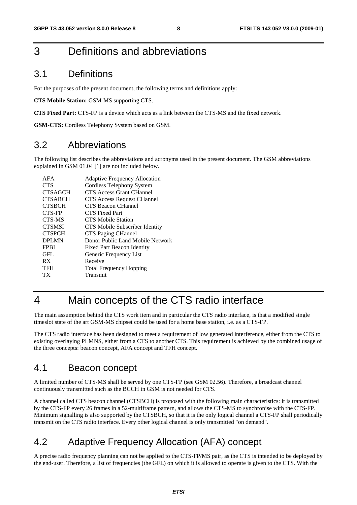### 3 Definitions and abbreviations

#### 3.1 Definitions

For the purposes of the present document, the following terms and definitions apply:

**CTS Mobile Station:** GSM-MS supporting CTS.

**CTS Fixed Part:** CTS-FP is a device which acts as a link between the CTS-MS and the fixed network.

**GSM-CTS:** Cordless Telephony System based on GSM.

### 3.2 Abbreviations

The following list describes the abbreviations and acronyms used in the present document. The GSM abbreviations explained in GSM 01.04 [1] are not included below.

| AFA            | <b>Adaptive Frequency Allocation</b> |
|----------------|--------------------------------------|
| <b>CTS</b>     | Cordless Telephony System            |
| <b>CTSAGCH</b> | <b>CTS Access Grant CHannel</b>      |
| <b>CTSARCH</b> | <b>CTS Access Request CHannel</b>    |
| <b>CTSBCH</b>  | CTS Beacon CHannel                   |
| CTS-FP         | CTS Fixed Part                       |
| CTS-MS         | <b>CTS Mobile Station</b>            |
| <b>CTSMSI</b>  | CTS Mobile Subscriber Identity       |
| <b>CTSPCH</b>  | CTS Paging CHannel                   |
| <b>DPLMN</b>   | Donor Public Land Mobile Network     |
| <b>FPBI</b>    | Fixed Part Beacon Identity           |
| GFL            | Generic Frequency List               |
| <b>RX</b>      | Receive                              |
| <b>TFH</b>     | <b>Total Frequency Hopping</b>       |
| ТX             | Transmit                             |
|                |                                      |

## 4 Main concepts of the CTS radio interface

The main assumption behind the CTS work item and in particular the CTS radio interface, is that a modified single timeslot state of the art GSM-MS chipset could be used for a home base station, i.e. as a CTS-FP.

The CTS radio interface has been designed to meet a requirement of low generated interference, either from the CTS to existing overlaying PLMNS, either from a CTS to another CTS. This requirement is achieved by the combined usage of the three concepts: beacon concept, AFA concept and TFH concept.

#### 4.1 Beacon concept

A limited number of CTS-MS shall be served by one CTS-FP (see GSM 02.56). Therefore, a broadcast channel continuously transmitted such as the BCCH in GSM is not needed for CTS.

A channel called CTS beacon channel (CTSBCH) is proposed with the following main characteristics: it is transmitted by the CTS-FP every 26 frames in a 52-multiframe pattern, and allows the CTS-MS to synchronise with the CTS-FP. Minimum signalling is also supported by the CTSBCH, so that it is the only logical channel a CTS-FP shall periodically transmit on the CTS radio interface. Every other logical channel is only transmitted "on demand".

### 4.2 Adaptive Frequency Allocation (AFA) concept

A precise radio frequency planning can not be applied to the CTS-FP/MS pair, as the CTS is intended to be deployed by the end-user. Therefore, a list of frequencies (the GFL) on which it is allowed to operate is given to the CTS. With the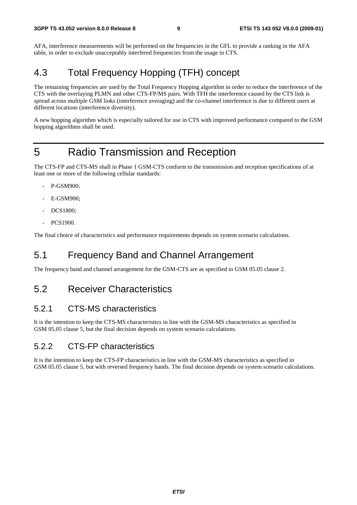AFA, interference measurements will be performed on the frequencies in the GFL to provide a ranking in the AFA table, in order to exclude unacceptably interfered frequencies from the usage in CTS.

### 4.3 Total Frequency Hopping (TFH) concept

The remaining frequencies are used by the Total Frequency Hopping algorithm in order to reduce the interference of the CTS with the overlaying PLMN and other CTS-FP/MS pairs. With TFH the interference caused by the CTS link is spread across multiple GSM links (interference averaging) and the co-channel interference is due to different users at different locations (interference diversity).

A new hopping algorithm which is especially tailored for use in CTS with improved performance compared to the GSM hopping algorithms shall be used.

## 5 Radio Transmission and Reception

The CTS-FP and CTS-MS shall in Phase 1 GSM-CTS conform to the transmission and reception specifications of at least one or more of the following cellular standards:

- P-GSM900;
- E-GSM900:
- DCS1800;
- PCS1900.

The final choice of characteristics and performance requirements depends on system scenario calculations.

### 5.1 Frequency Band and Channel Arrangement

The frequency band and channel arrangement for the GSM-CTS are as specified in GSM 05.05 clause 2.

#### 5.2 Receiver Characteristics

#### 5.2.1 CTS-MS characteristics

It is the intention to keep the CTS-MS characteristics in line with the GSM-MS characteristics as specified in GSM 05.05 clause 5, but the final decision depends on system scenario calculations.

#### 5.2.2 CTS-FP characteristics

It is the intention to keep the CTS-FP characteristics in line with the GSM-MS characteristics as specified in GSM 05.05 clause 5, but with reversed frequency bands. The final decision depends on system scenario calculations.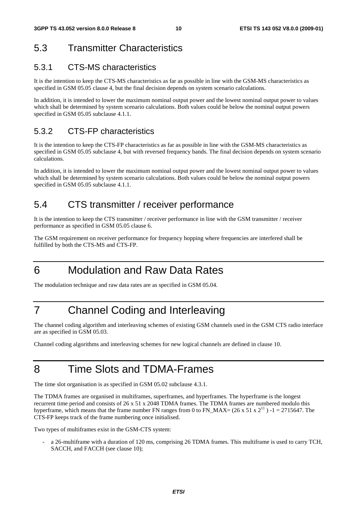### 5.3 Transmitter Characteristics

### 5.3.1 CTS-MS characteristics

It is the intention to keep the CTS-MS characteristics as far as possible in line with the GSM-MS characteristics as specified in GSM 05.05 clause 4, but the final decision depends on system scenario calculations.

In addition, it is intended to lower the maximum nominal output power and the lowest nominal output power to values which shall be determined by system scenario calculations. Both values could be below the nominal output powers specified in GSM 05.05 subclause 4.1.1.

#### 5.3.2 CTS-FP characteristics

It is the intention to keep the CTS-FP characteristics as far as possible in line with the GSM-MS characteristics as specified in GSM 05.05 subclause 4, but with reversed frequency bands. The final decision depends on system scenario calculations.

In addition, it is intended to lower the maximum nominal output power and the lowest nominal output power to values which shall be determined by system scenario calculations. Both values could be below the nominal output powers specified in GSM 05.05 subclause 4.1.1.

### 5.4 CTS transmitter / receiver performance

It is the intention to keep the CTS transmitter / receiver performance in line with the GSM transmitter / receiver performance as specified in GSM 05.05 clause 6.

The GSM requirement on receiver performance for frequency hopping where frequencies are interfered shall be fulfilled by both the CTS-MS and CTS-FP.

## 6 Modulation and Raw Data Rates

The modulation technique and raw data rates are as specified in GSM 05.04.

## 7 Channel Coding and Interleaving

The channel coding algorithm and interleaving schemes of existing GSM channels used in the GSM CTS radio interface are as specified in GSM 05.03.

Channel coding algorithms and interleaving schemes for new logical channels are defined in clause 10.

## 8 Time Slots and TDMA-Frames

The time slot organisation is as specified in GSM 05.02 subclause 4.3.1.

The TDMA frames are organised in multiframes, superframes, and hyperframes. The hyperframe is the longest recurrent time period and consists of 26 x 51 x 2048 TDMA frames. The TDMA frames are numbered modulo this hyperframe, which means that the frame number FN ranges from 0 to FN\_MAX= (26 x 51 x  $2^{11}$ ) -1 = 2715647. The CTS-FP keeps track of the frame numbering once initialised.

Two types of multiframes exist in the GSM-CTS system:

- a 26-multiframe with a duration of 120 ms, comprising 26 TDMA frames. This multiframe is used to carry TCH, SACCH, and FACCH (see clause 10);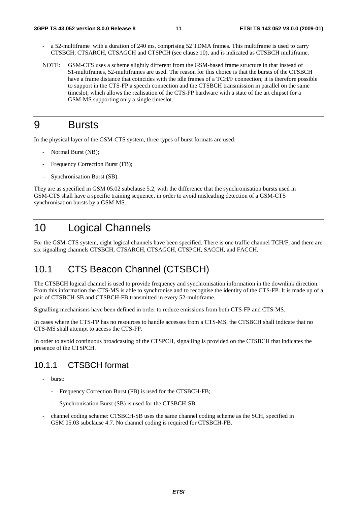- a 52-multiframe with a duration of 240 ms, comprising 52 TDMA frames. This multiframe is used to carry CTSBCH, CTSARCH, CTSAGCH and CTSPCH (see clause 10), and is indicated as CTSBCH multiframe.
- NOTE: GSM-CTS uses a scheme slightly different from the GSM-based frame structure in that instead of 51-multiframes, 52-multiframes are used. The reason for this choice is that the bursts of the CTSBCH have a frame distance that coincides with the idle frames of a TCH/F connection; it is therefore possible to support in the CTS-FP a speech connection and the CTSBCH transmission in parallel on the same timeslot, which allows the realisation of the CTS-FP hardware with a state of the art chipset for a GSM-MS supporting only a single timeslot.

### 9 Bursts

In the physical layer of the GSM-CTS system, three types of burst formats are used:

- Normal Burst (NB);
- Frequency Correction Burst (FB);
- Synchronisation Burst (SB).

They are as specified in GSM 05.02 subclause 5.2, with the difference that the synchronisation bursts used in GSM-CTS shall have a specific training sequence, in order to avoid misleading detection of a GSM-CTS synchronisation bursts by a GSM-MS.

### 10 Logical Channels

For the GSM-CTS system, eight logical channels have been specified. There is one traffic channel TCH/F, and there are six signalling channels CTSBCH, CTSARCH, CTSAGCH, CTSPCH, SACCH, and FACCH.

### 10.1 CTS Beacon Channel (CTSBCH)

The CTSBCH logical channel is used to provide frequency and synchronisation information in the downlink direction. From this information the CTS-MS is able to synchronise and to recognise the identity of the CTS-FP. It is made up of a pair of CTSBCH-SB and CTSBCH-FB transmitted in every 52-multiframe.

Signalling mechanisms have been defined in order to reduce emissions from both CTS-FP and CTS-MS.

In cases where the CTS-FP has no resources to handle accesses from a CTS-MS, the CTSBCH shall indicate that no CTS-MS shall attempt to access the CTS-FP.

In order to avoid continuous broadcasting of the CTSPCH, signalling is provided on the CTSBCH that indicates the presence of the CTSPCH.

#### 10.1.1 CTSBCH format

- burst:
	- Frequency Correction Burst (FB) is used for the CTSBCH-FB;
	- Synchronisation Burst (SB) is used for the CTSBCH-SB.
- channel coding scheme: CTSBCH-SB uses the same channel coding scheme as the SCH, specified in GSM 05.03 subclause 4.7. No channel coding is required for CTSBCH-FB.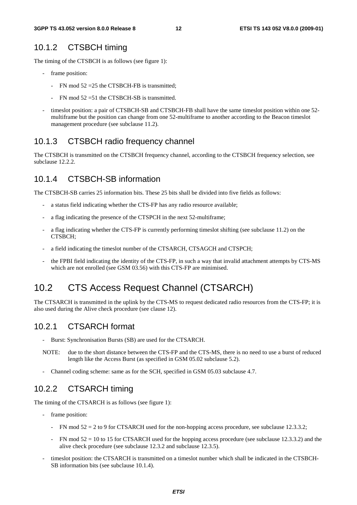#### 10.1.2 CTSBCH timing

The timing of the CTSBCH is as follows (see figure 1):

- frame position:
	- FN mod 52 = 25 the CTSBCH-FB is transmitted;
	- $FN \mod 52 = 51$  the CTSBCH-SB is transmitted.
- timeslot position: a pair of CTSBCH-SB and CTSBCH-FB shall have the same timeslot position within one 52multiframe but the position can change from one 52-multiframe to another according to the Beacon timeslot management procedure (see subclause 11.2).

#### 10.1.3 CTSBCH radio frequency channel

The CTSBCH is transmitted on the CTSBCH frequency channel, according to the CTSBCH frequency selection, see subclause 12.2.2.

#### 10.1.4 CTSBCH-SB information

The CTSBCH-SB carries 25 information bits. These 25 bits shall be divided into five fields as follows:

- a status field indicating whether the CTS-FP has any radio resource available;
- a flag indicating the presence of the CTSPCH in the next 52-multiframe;
- a flag indicating whether the CTS-FP is currently performing timeslot shifting (see subclause 11.2) on the CTSBCH;
- a field indicating the timeslot number of the CTSARCH, CTSAGCH and CTSPCH;
- the FPBI field indicating the identity of the CTS-FP, in such a way that invalid attachment attempts by CTS-MS which are not enrolled (see GSM 03.56) with this CTS-FP are minimised.

### 10.2 CTS Access Request Channel (CTSARCH)

The CTSARCH is transmitted in the uplink by the CTS-MS to request dedicated radio resources from the CTS-FP; it is also used during the Alive check procedure (see clause 12).

#### 10.2.1 CTSARCH format

- Burst: Synchronisation Bursts (SB) are used for the CTSARCH.
- NOTE: due to the short distance between the CTS-FP and the CTS-MS, there is no need to use a burst of reduced length like the Access Burst (as specified in GSM 05.02 subclause 5.2).
- Channel coding scheme: same as for the SCH, specified in GSM 05.03 subclause 4.7.

#### 10.2.2 CTSARCH timing

The timing of the CTSARCH is as follows (see figure 1):

- frame position:
	- FN mod  $52 = 2$  to 9 for CTSARCH used for the non-hopping access procedure, see subclause 12.3.3.2;
	- FN mod  $52 = 10$  to 15 for CTSARCH used for the hopping access procedure (see subclause 12.3.3.2) and the alive check procedure (see subclause 12.3.2 and subclause 12.3.5).
- timeslot position: the CTSARCH is transmitted on a timeslot number which shall be indicated in the CTSBCH-SB information bits (see subclause 10.1.4).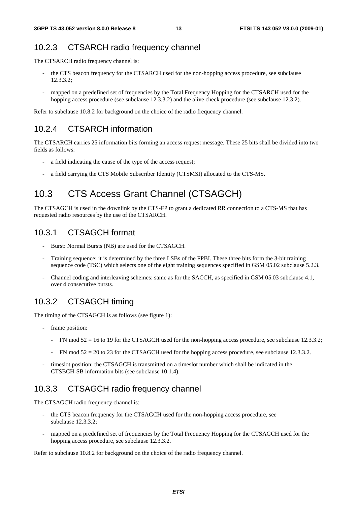#### 10.2.3 CTSARCH radio frequency channel

The CTSARCH radio frequency channel is:

- the CTS beacon frequency for the CTSARCH used for the non-hopping access procedure, see subclause 12.3.3.2;
- mapped on a predefined set of frequencies by the Total Frequency Hopping for the CTSARCH used for the hopping access procedure (see subclause 12.3.3.2) and the alive check procedure (see subclause 12.3.2).

Refer to subclause 10.8.2 for background on the choice of the radio frequency channel.

#### 10.2.4 CTSARCH information

The CTSARCH carries 25 information bits forming an access request message. These 25 bits shall be divided into two fields as follows:

- a field indicating the cause of the type of the access request;
- a field carrying the CTS Mobile Subscriber Identity (CTSMSI) allocated to the CTS-MS.

### 10.3 CTS Access Grant Channel (CTSAGCH)

The CTSAGCH is used in the downlink by the CTS-FP to grant a dedicated RR connection to a CTS-MS that has requested radio resources by the use of the CTSARCH.

#### 10.3.1 CTSAGCH format

- Burst: Normal Bursts (NB) are used for the CTSAGCH.
- Training sequence: it is determined by the three LSBs of the FPBI. These three bits form the 3-bit training sequence code (TSC) which selects one of the eight training sequences specified in GSM 05.02 subclause 5.2.3.
- Channel coding and interleaving schemes: same as for the SACCH, as specified in GSM 05.03 subclause 4.1, over 4 consecutive bursts.

#### 10.3.2 CTSAGCH timing

The timing of the CTSAGCH is as follows (see figure 1):

- frame position:
	- FN mod  $52 = 16$  to 19 for the CTSAGCH used for the non-hopping access procedure, see subclause 12.3.3.2;
	- FN mod  $52 = 20$  to 23 for the CTSAGCH used for the hopping access procedure, see subclause 12.3.3.2.
- timeslot position: the CTSAGCH is transmitted on a timeslot number which shall be indicated in the CTSBCH-SB information bits (see subclause 10.1.4).

#### 10.3.3 CTSAGCH radio frequency channel

The CTSAGCH radio frequency channel is:

- the CTS beacon frequency for the CTSAGCH used for the non-hopping access procedure, see subclause 12.3.3.2;
- mapped on a predefined set of frequencies by the Total Frequency Hopping for the CTSAGCH used for the hopping access procedure, see subclause 12.3.3.2.

Refer to subclause 10.8.2 for background on the choice of the radio frequency channel.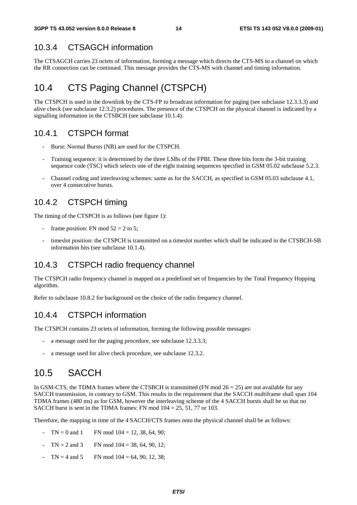#### 10.3.4 CTSAGCH information

The CTSAGCH carries 23 octets of information, forming a message which directs the CTS-MS to a channel on which the RR connection can be continued. This message provides the CTS-MS with channel and timing information.

### 10.4 CTS Paging Channel (CTSPCH)

The CTSPCH is used in the downlink by the CTS-FP to broadcast information for paging (see subclause 12.3.3.3) and alive check (see subclause 12.3.2) procedures. The presence of the CTSPCH on the physical channel is indicated by a signalling information in the CTSBCH (see subclause 10.1.4).

#### 10.4.1 CTSPCH format

- Burst: Normal Bursts (NB) are used for the CTSPCH.
- Training sequence: it is determined by the three LSBs of the FPBI. These three bits form the 3-bit training sequence code (TSC) which selects one of the eight training sequences specified in GSM 05.02 subclause 5.2.3.
- Channel coding and interleaving schemes: same as for the SACCH, as specified in GSM 05.03 subclause 4.1, over 4 consecutive bursts.

#### 10.4.2 CTSPCH timing

The timing of the CTSPCH is as follows (see figure 1):

- frame position: FN mod  $52 = 2$  to 5;
- timeslot position: the CTSPCH is transmitted on a timeslot number which shall be indicated in the CTSBCH-SB information bits (see subclause 10.1.4).

#### 10.4.3 CTSPCH radio frequency channel

The CTSPCH radio frequency channel is mapped on a predefined set of frequencies by the Total Frequency Hopping algorithm.

Refer to subclause 10.8.2 for background on the choice of the radio frequency channel.

#### 10.4.4 CTSPCH information

The CTSPCH contains 23 octets of information, forming the following possible messages:

- a message used for the paging procedure, see subclause 12.3.3.3;
- a message used for alive check procedure, see subclause 12.3.2.

### 10.5 SACCH

In GSM-CTS, the TDMA frames where the CTSBCH is transmitted (FN mod  $26 = 25$ ) are not available for any SACCH transmission, in contrary to GSM. This results in the requirement that the SACCH multiframe shall span 104 TDMA frames (480 ms) as for GSM, however the interleaving scheme of the 4 SACCH bursts shall be so that no SACCH burst is sent in the TDMA frames: FN mod  $104 = 25, 51, 77$  or 103.

Therefore, the mapping in time of the 4 SACCH/CTS frames onto the physical channel shall be as follows:

- $TN = 0$  and 1 FN mod  $104 = 12, 38, 64, 90$ ;
- $TN = 2$  and 3 FN mod  $104 = 38, 64, 90, 12$ ;
- $TN = 4$  and  $5$  FN mod  $104 = 64, 90, 12, 38$ ;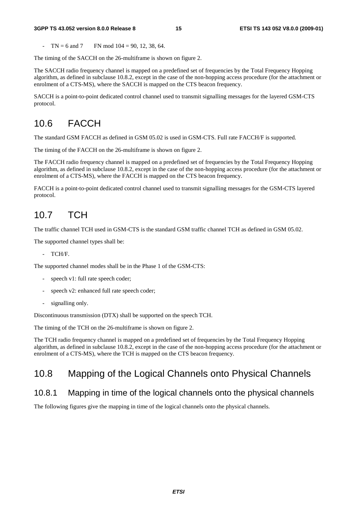#### **3GPP TS 43.052 version 8.0.0 Release 8 15 ETSI TS 143 052 V8.0.0 (2009-01)**

 $TN = 6$  and  $7$  FN mod  $104 = 90, 12, 38, 64$ .

The timing of the SACCH on the 26-multiframe is shown on figure 2.

The SACCH radio frequency channel is mapped on a predefined set of frequencies by the Total Frequency Hopping algorithm, as defined in subclause 10.8.2, except in the case of the non-hopping access procedure (for the attachment or enrolment of a CTS-MS), where the SACCH is mapped on the CTS beacon frequency.

SACCH is a point-to-point dedicated control channel used to transmit signalling messages for the layered GSM-CTS protocol.

### 10.6 FACCH

The standard GSM FACCH as defined in GSM 05.02 is used in GSM-CTS. Full rate FACCH/F is supported.

The timing of the FACCH on the 26-multiframe is shown on figure 2.

The FACCH radio frequency channel is mapped on a predefined set of frequencies by the Total Frequency Hopping algorithm, as defined in subclause 10.8.2, except in the case of the non-hopping access procedure (for the attachment or enrolment of a CTS-MS), where the FACCH is mapped on the CTS beacon frequency.

FACCH is a point-to-point dedicated control channel used to transmit signalling messages for the GSM-CTS layered protocol.

### 10.7 TCH

The traffic channel TCH used in GSM-CTS is the standard GSM traffic channel TCH as defined in GSM 05.02.

The supported channel types shall be:

- TCH/F.

The supported channel modes shall be in the Phase 1 of the GSM-CTS:

- speech v1: full rate speech coder;
- speech v2: enhanced full rate speech coder;
- signalling only.

Discontinuous transmission (DTX) shall be supported on the speech TCH.

The timing of the TCH on the 26-multiframe is shown on figure 2.

The TCH radio frequency channel is mapped on a predefined set of frequencies by the Total Frequency Hopping algorithm, as defined in subclause 10.8.2, except in the case of the non-hopping access procedure (for the attachment or enrolment of a CTS-MS), where the TCH is mapped on the CTS beacon frequency.

### 10.8 Mapping of the Logical Channels onto Physical Channels

#### 10.8.1 Mapping in time of the logical channels onto the physical channels

The following figures give the mapping in time of the logical channels onto the physical channels.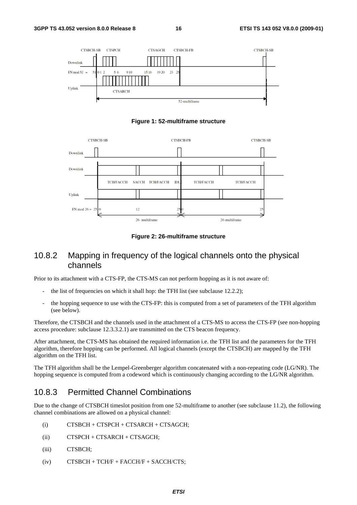

**Figure 1: 52-multiframe structure** 



**Figure 2: 26-multiframe structure** 

#### 10.8.2 Mapping in frequency of the logical channels onto the physical channels

Prior to its attachment with a CTS-FP, the CTS-MS can not perform hopping as it is not aware of:

- the list of frequencies on which it shall hop: the TFH list (see subclause 12.2.2);
- the hopping sequence to use with the CTS-FP: this is computed from a set of parameters of the TFH algorithm (see below).

Therefore, the CTSBCH and the channels used in the attachment of a CTS-MS to access the CTS-FP (see non-hopping access procedure: subclause 12.3.3.2.1) are transmitted on the CTS beacon frequency.

After attachment, the CTS-MS has obtained the required information i.e. the TFH list and the parameters for the TFH algorithm, therefore hopping can be performed. All logical channels (except the CTSBCH) are mapped by the TFH algorithm on the TFH list.

The TFH algorithm shall be the Lempel-Greenberger algorithm concatenated with a non-repeating code (LG/NR). The hopping sequence is computed from a codeword which is continuously changing according to the LG/NR algorithm.

#### 10.8.3 Permitted Channel Combinations

Due to the change of CTSBCH timeslot position from one 52-multiframe to another (see subclause 11.2), the following channel combinations are allowed on a physical channel:

- (i) CTSBCH + CTSPCH + CTSARCH + CTSAGCH;
- (ii) CTSPCH + CTSARCH + CTSAGCH;
- (iii) CTSBCH;
- $(iv)$  CTSBCH + TCH/F + FACCH/F + SACCH/CTS;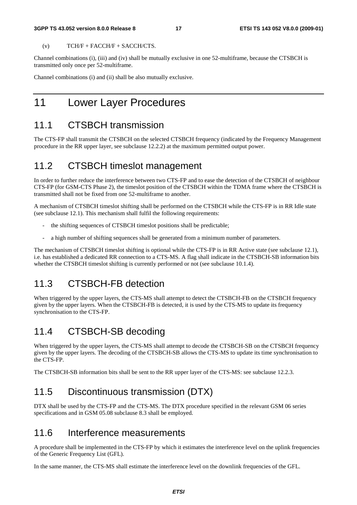#### **3GPP TS 43.052 version 8.0.0 Release 8 17 ETSI TS 143 052 V8.0.0 (2009-01)**

 $(V)$  TCH/F + FACCH/F + SACCH/CTS.

Channel combinations (i), (iii) and (iv) shall be mutually exclusive in one 52-multiframe, because the CTSBCH is transmitted only once per 52-multiframe.

Channel combinations (i) and (ii) shall be also mutually exclusive.

### 11 Lower Layer Procedures

### 11.1 CTSBCH transmission

The CTS-FP shall transmit the CTSBCH on the selected CTSBCH frequency (indicated by the Frequency Management procedure in the RR upper layer, see subclause 12.2.2) at the maximum permitted output power.

### 11.2 CTSBCH timeslot management

In order to further reduce the interference between two CTS-FP and to ease the detection of the CTSBCH of neighbour CTS-FP (for GSM-CTS Phase 2), the timeslot position of the CTSBCH within the TDMA frame where the CTSBCH is transmitted shall not be fixed from one 52-multiframe to another.

A mechanism of CTSBCH timeslot shifting shall be performed on the CTSBCH while the CTS-FP is in RR Idle state (see subclause 12.1). This mechanism shall fulfil the following requirements:

- the shifting sequences of CTSBCH timeslot positions shall be predictable;
- a high number of shifting sequences shall be generated from a minimum number of parameters.

The mechanism of CTSBCH timeslot shifting is optional while the CTS-FP is in RR Active state (see subclause 12.1), i.e. has established a dedicated RR connection to a CTS-MS. A flag shall indicate in the CTSBCH-SB information bits whether the CTSBCH timeslot shifting is currently performed or not (see subclause 10.1.4).

#### 11.3 CTSBCH-FB detection

When triggered by the upper layers, the CTS-MS shall attempt to detect the CTSBCH-FB on the CTSBCH frequency given by the upper layers. When the CTSBCH-FB is detected, it is used by the CTS-MS to update its frequency synchronisation to the CTS-FP.

### 11.4 CTSBCH-SB decoding

When triggered by the upper layers, the CTS-MS shall attempt to decode the CTSBCH-SB on the CTSBCH frequency given by the upper layers. The decoding of the CTSBCH-SB allows the CTS-MS to update its time synchronisation to the CTS-FP.

The CTSBCH-SB information bits shall be sent to the RR upper layer of the CTS-MS: see subclause 12.2.3.

### 11.5 Discontinuous transmission (DTX)

DTX shall be used by the CTS-FP and the CTS-MS. The DTX procedure specified in the relevant GSM 06 series specifications and in GSM 05.08 subclause 8.3 shall be employed.

#### 11.6 Interference measurements

A procedure shall be implemented in the CTS-FP by which it estimates the interference level on the uplink frequencies of the Generic Frequency List (GFL).

In the same manner, the CTS-MS shall estimate the interference level on the downlink frequencies of the GFL.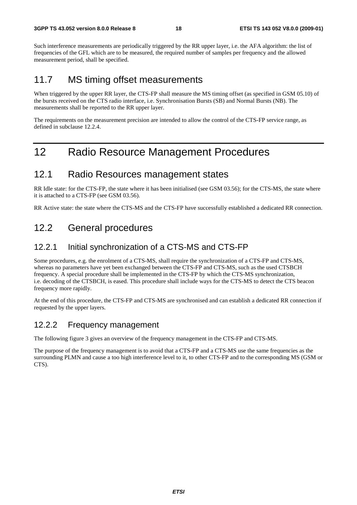Such interference measurements are periodically triggered by the RR upper layer, i.e. the AFA algorithm: the list of frequencies of the GFL which are to be measured, the required number of samples per frequency and the allowed measurement period, shall be specified.

### 11.7 MS timing offset measurements

When triggered by the upper RR layer, the CTS-FP shall measure the MS timing offset (as specified in GSM 05.10) of the bursts received on the CTS radio interface, i.e. Synchronisation Bursts (SB) and Normal Bursts (NB). The measurements shall be reported to the RR upper layer.

The requirements on the measurement precision are intended to allow the control of the CTS-FP service range, as defined in subclause 12.2.4.

## 12 Radio Resource Management Procedures

#### 12.1 Radio Resources management states

RR Idle state: for the CTS-FP, the state where it has been initialised (see GSM 03.56); for the CTS-MS, the state where it is attached to a CTS-FP (see GSM 03.56).

RR Active state: the state where the CTS-MS and the CTS-FP have successfully established a dedicated RR connection.

### 12.2 General procedures

#### 12.2.1 Initial synchronization of a CTS-MS and CTS-FP

Some procedures, e.g. the enrolment of a CTS-MS, shall require the synchronization of a CTS-FP and CTS-MS, whereas no parameters have yet been exchanged between the CTS-FP and CTS-MS, such as the used CTSBCH frequency. A special procedure shall be implemented in the CTS-FP by which the CTS-MS synchronization, i.e. decoding of the CTSBCH, is eased. This procedure shall include ways for the CTS-MS to detect the CTS beacon frequency more rapidly.

At the end of this procedure, the CTS-FP and CTS-MS are synchronised and can establish a dedicated RR connection if requested by the upper layers.

#### 12.2.2 Frequency management

The following figure 3 gives an overview of the frequency management in the CTS-FP and CTS-MS.

The purpose of the frequency management is to avoid that a CTS-FP and a CTS-MS use the same frequencies as the surrounding PLMN and cause a too high interference level to it, to other CTS-FP and to the corresponding MS (GSM or CTS).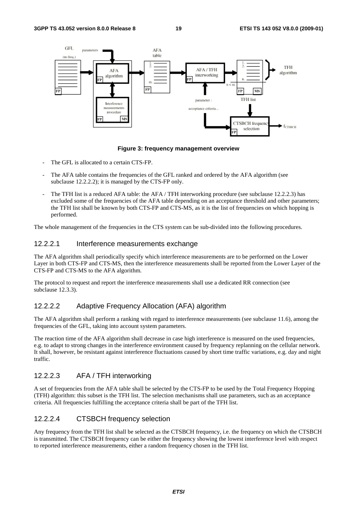

**Figure 3: frequency management overview** 

- The GFL is allocated to a certain CTS-FP.
- The AFA table contains the frequencies of the GFL ranked and ordered by the AFA algorithm (see subclause 12.2.2.2); it is managed by the CTS-FP only.
- The TFH list is a reduced AFA table: the AFA / TFH interworking procedure (see subclause 12.2.2.3) has excluded some of the frequencies of the AFA table depending on an acceptance threshold and other parameters; the TFH list shall be known by both CTS-FP and CTS-MS, as it is the list of frequencies on which hopping is performed.

The whole management of the frequencies in the CTS system can be sub-divided into the following procedures.

#### 12.2.2.1 Interference measurements exchange

The AFA algorithm shall periodically specify which interference measurements are to be performed on the Lower Layer in both CTS-FP and CTS-MS, then the interference measurements shall be reported from the Lower Layer of the CTS-FP and CTS-MS to the AFA algorithm.

The protocol to request and report the interference measurements shall use a dedicated RR connection (see subclause 12.3.3).

#### 12.2.2.2 Adaptive Frequency Allocation (AFA) algorithm

The AFA algorithm shall perform a ranking with regard to interference measurements (see subclause 11.6), among the frequencies of the GFL, taking into account system parameters.

The reaction time of the AFA algorithm shall decrease in case high interference is measured on the used frequencies, e.g. to adapt to strong changes in the interference environment caused by frequency replanning on the cellular network. It shall, however, be resistant against interference fluctuations caused by short time traffic variations, e.g. day and night traffic.

#### 12.2.2.3 AFA / TFH interworking

A set of frequencies from the AFA table shall be selected by the CTS-FP to be used by the Total Frequency Hopping (TFH) algorithm: this subset is the TFH list. The selection mechanisms shall use parameters, such as an acceptance criteria. All frequencies fulfilling the acceptance criteria shall be part of the TFH list.

#### 12.2.2.4 CTSBCH frequency selection

Any frequency from the TFH list shall be selected as the CTSBCH frequency, i.e. the frequency on which the CTSBCH is transmitted. The CTSBCH frequency can be either the frequency showing the lowest interference level with respect to reported interference measurements, either a random frequency chosen in the TFH list.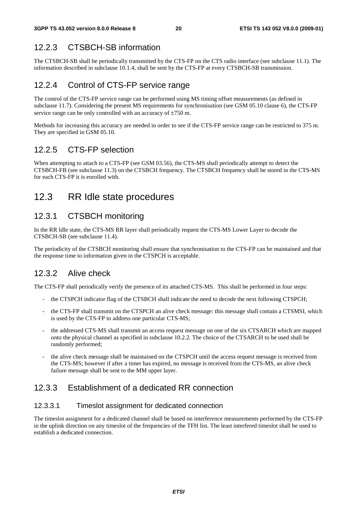#### 12.2.3 CTSBCH-SB information

The CTSBCH-SB shall be periodically transmitted by the CTS-FP on the CTS radio interface (see subclause 11.1). The information described in subclause 10.1.4, shall be sent by the CTS-FP at every CTSBCH-SB transmission.

#### 12.2.4 Control of CTS-FP service range

The control of the CTS-FP service range can be performed using MS timing offset measurements (as defined in subclause 11.7). Considering the present MS requirements for synchronisation (see GSM 05.10 clause 6), the CTS-FP service range can be only controlled with an accuracy of ±750 m.

Methods for increasing this accuracy are needed in order to see if the CTS-FP service range can be restricted to 375 m. They are specified in GSM 05.10.

#### 12.2.5 CTS-FP selection

When attempting to attach to a CTS-FP (see GSM 03.56), the CTS-MS shall periodically attempt to detect the CTSBCH-FB (see subclause 11.3) on the CTSBCH frequency. The CTSBCH frequency shall be stored in the CTS-MS for each CTS-FP it is enrolled with.

### 12.3 RR Idle state procedures

#### 12.3.1 CTSBCH monitoring

In the RR Idle state, the CTS-MS RR layer shall periodically request the CTS-MS Lower Layer to decode the CTSBCH-SB (see subclause 11.4).

The periodicity of the CTSBCH monitoring shall ensure that synchronisation to the CTS-FP can be maintained and that the response time to information given in the CTSPCH is acceptable.

#### 12.3.2 Alive check

The CTS-FP shall periodically verify the presence of its attached CTS-MS. This shall be performed in four steps:

- the CTSPCH indicator flag of the CTSBCH shall indicate the need to decode the next following CTSPCH;
- the CTS-FP shall transmit on the CTSPCH an alive check message: this message shall contain a CTSMSI, which is used by the CTS-FP to address one particular CTS-MS;
- the addressed CTS-MS shall transmit an access request message on one of the six CTSARCH which are mapped onto the physical channel as specified in subclause 10.2.2. The choice of the CTSARCH to be used shall be randomly performed;
- the alive check message shall be maintained on the CTSPCH until the access request message is received from the CTS-MS; however if after a timer has expired, no message is received from the CTS-MS, an alive check failure message shall be sent to the MM upper layer.

#### 12.3.3 Establishment of a dedicated RR connection

#### 12.3.3.1 Timeslot assignment for dedicated connection

The timeslot assignment for a dedicated channel shall be based on interference measurements performed by the CTS-FP in the uplink direction on any timeslot of the frequencies of the TFH list. The least interfered timeslot shall be used to establish a dedicated connection.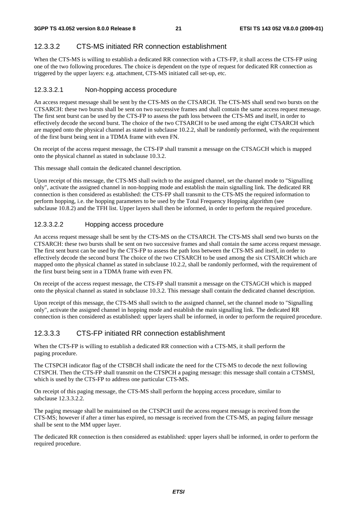#### 12.3.3.2 CTS-MS initiated RR connection establishment

When the CTS-MS is willing to establish a dedicated RR connection with a CTS-FP, it shall access the CTS-FP using one of the two following procedures. The choice is dependent on the type of request for dedicated RR connection as triggered by the upper layers: e.g. attachment, CTS-MS initiated call set-up, etc.

#### 12.3.3.2.1 Non-hopping access procedure

An access request message shall be sent by the CTS-MS on the CTSARCH. The CTS-MS shall send two bursts on the CTSARCH: these two bursts shall be sent on two successive frames and shall contain the same access request message. The first sent burst can be used by the CTS-FP to assess the path loss between the CTS-MS and itself, in order to effectively decode the second burst. The choice of the two CTSARCH to be used among the eight CTSARCH which are mapped onto the physical channel as stated in subclause 10.2.2, shall be randomly performed, with the requirement of the first burst being sent in a TDMA frame with even FN.

On receipt of the access request message, the CTS-FP shall transmit a message on the CTSAGCH which is mapped onto the physical channel as stated in subclause 10.3.2.

This message shall contain the dedicated channel description.

Upon receipt of this message, the CTS-MS shall switch to the assigned channel, set the channel mode to "Signalling only", activate the assigned channel in non-hopping mode and establish the main signalling link. The dedicated RR connection is then considered as established: the CTS-FP shall transmit to the CTS-MS the required information to perform hopping, i.e. the hopping parameters to be used by the Total Frequency Hopping algorithm (see subclause 10.8.2) and the TFH list. Upper layers shall then be informed, in order to perform the required procedure.

#### 12.3.3.2.2 Hopping access procedure

An access request message shall be sent by the CTS-MS on the CTSARCH. The CTS-MS shall send two bursts on the CTSARCH: these two bursts shall be sent on two successive frames and shall contain the same access request message. The first sent burst can be used by the CTS-FP to assess the path loss between the CTS-MS and itself, in order to effectively decode the second burst The choice of the two CTSARCH to be used among the six CTSARCH which are mapped onto the physical channel as stated in subclause 10.2.2, shall be randomly performed, with the requirement of the first burst being sent in a TDMA frame with even FN.

On receipt of the access request message, the CTS-FP shall transmit a message on the CTSAGCH which is mapped onto the physical channel as stated in subclause 10.3.2. This message shall contain the dedicated channel description.

Upon receipt of this message, the CTS-MS shall switch to the assigned channel, set the channel mode to "Signalling only", activate the assigned channel in hopping mode and establish the main signalling link. The dedicated RR connection is then considered as established: upper layers shall be informed, in order to perform the required procedure.

#### 12.3.3.3 CTS-FP initiated RR connection establishment

When the CTS-FP is willing to establish a dedicated RR connection with a CTS-MS, it shall perform the paging procedure.

The CTSPCH indicator flag of the CTSBCH shall indicate the need for the CTS-MS to decode the next following CTSPCH. Then the CTS-FP shall transmit on the CTSPCH a paging message: this message shall contain a CTSMSI, which is used by the CTS-FP to address one particular CTS-MS.

On receipt of this paging message, the CTS-MS shall perform the hopping access procedure, similar to subclause 12.3.3.2.2.

The paging message shall be maintained on the CTSPCH until the access request message is received from the CTS-MS; however if after a timer has expired, no message is received from the CTS-MS, an paging failure message shall be sent to the MM upper layer.

The dedicated RR connection is then considered as established: upper layers shall be informed, in order to perform the required procedure.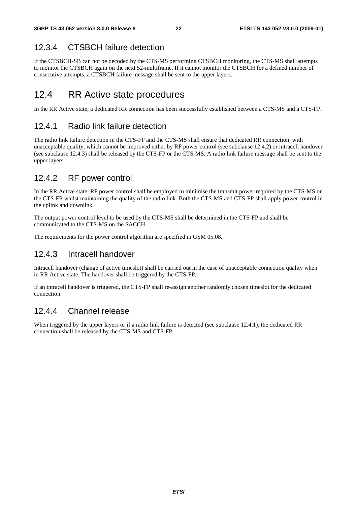#### 12.3.4 CTSBCH failure detection

If the CTSBCH-SB can not be decoded by the CTS-MS performing CTSBCH monitoring, the CTS-MS shall attempts to monitor the CTSBCH again on the next 52-multiframe. If it cannot monitor the CTSBCH for a defined number of consecutive attempts, a CTSBCH failure message shall be sent to the upper layers.

#### 12.4 RR Active state procedures

In the RR Active state, a dedicated RR connection has been successfully established between a CTS-MS and a CTS-FP.

#### 12.4.1 Radio link failure detection

The radio link failure detection in the CTS-FP and the CTS-MS shall ensure that dedicated RR connection with unacceptable quality, which cannot be improved either by RF power control (see subclause 12.4.2) or intracell handover (see subclause 12.4.3) shall be released by the CTS-FP or the CTS-MS. A radio link failure message shall be sent to the upper layers.

#### 12.4.2 RF power control

In the RR Active state, RF power control shall be employed to minimise the transmit power required by the CTS-MS or the CTS-FP whilst maintaining the quality of the radio link. Both the CTS-MS and CTS-FP shall apply power control in the uplink and downlink.

The output power control level to be used by the CTS-MS shall be determined in the CTS-FP and shall be communicated to the CTS-MS on the SACCH.

The requirements for the power control algorithm are specified in GSM 05.08.

#### 12.4.3 Intracell handover

Intracell handover (change of active timeslot) shall be carried out in the case of unacceptable connection quality when in RR Active state. The handover shall be triggered by the CTS-FP.

If an intracell handover is triggered, the CTS-FP shall re-assign another randomly chosen timeslot for the dedicated connection.

#### 12.4.4 Channel release

When triggered by the upper layers or if a radio link failure is detected (see subclause 12.4.1), the dedicated RR connection shall be released by the CTS-MS and CTS-FP.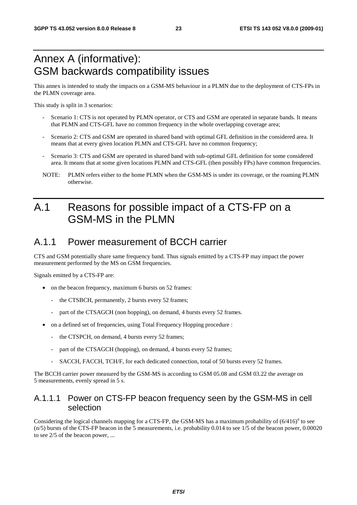## Annex A (informative): GSM backwards compatibility issues

This annex is intended to study the impacts on a GSM-MS behaviour in a PLMN due to the deployment of CTS-FPs in the PLMN coverage area.

This study is split in 3 scenarios:

- Scenario 1: CTS is not operated by PLMN operator, or CTS and GSM are operated in separate bands. It means that PLMN and CTS-GFL have no common frequency in the whole overlapping coverage area;
- Scenario 2: CTS and GSM are operated in shared band with optimal GFL definition in the considered area. It means that at every given location PLMN and CTS-GFL have no common frequency;
- Scenario 3: CTS and GSM are operated in shared band with sub-optimal GFL definition for some considered area. It means that at some given locations PLMN and CTS-GFL (then possibly FPs) have common frequencies.
- NOTE: PLMN refers either to the home PLMN when the GSM-MS is under its coverage, or the roaming PLMN otherwise.

## A.1 Reasons for possible impact of a CTS-FP on a GSM-MS in the PLMN

### A.1.1 Power measurement of BCCH carrier

CTS and GSM potentially share same frequency band. Thus signals emitted by a CTS-FP may impact the power measurement performed by the MS on GSM frequencies.

Signals emitted by a CTS-FP are:

- on the beacon frequency, maximum 6 bursts on 52 frames:
	- the CTSBCH, permanently, 2 bursts every 52 frames;
	- part of the CTSAGCH (non hopping), on demand, 4 bursts every 52 frames.
- on a defined set of frequencies, using Total Frequency Hopping procedure :
	- the CTSPCH, on demand, 4 bursts every 52 frames;
	- part of the CTSAGCH (hopping), on demand, 4 bursts every 52 frames;
	- SACCH, FACCH, TCH/F, for each dedicated connection, total of 50 bursts every 52 frames.

The BCCH carrier power measured by the GSM-MS is according to GSM 05.08 and GSM 03.22 the average on 5 measurements, evenly spread in 5 s.

#### A.1.1.1 Power on CTS-FP beacon frequency seen by the GSM-MS in cell selection

Considering the logical channels mapping for a CTS-FP, the GSM-MS has a maximum probability of  $(6/416)^n$  to see (n/5) bursts of the CTS-FP beacon in the 5 measurements, i.e. probability 0.014 to see 1/5 of the beacon power, 0.00020 to see 2/5 of the beacon power, ...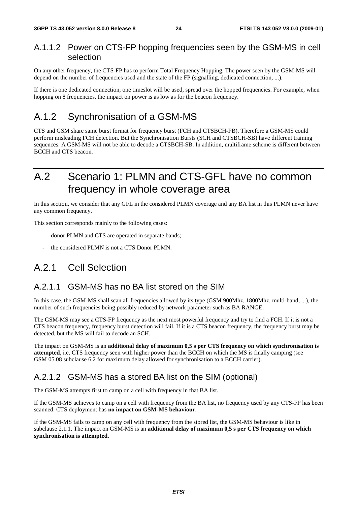#### A.1.1.2 Power on CTS-FP hopping frequencies seen by the GSM-MS in cell selection

On any other frequency, the CTS-FP has to perform Total Frequency Hopping. The power seen by the GSM-MS will depend on the number of frequencies used and the state of the FP (signalling, dedicated connection, ...).

If there is one dedicated connection, one timeslot will be used, spread over the hopped frequencies. For example, when hopping on 8 frequencies, the impact on power is as low as for the beacon frequency.

### A.1.2 Synchronisation of a GSM-MS

CTS and GSM share same burst format for frequency burst (FCH and CTSBCH-FB). Therefore a GSM-MS could perform misleading FCH detection. But the Synchronisation Bursts (SCH and CTSBCH-SB) have different training sequences. A GSM-MS will not be able to decode a CTSBCH-SB. In addition, multiframe scheme is different between BCCH and CTS beacon.

## A.2 Scenario 1: PLMN and CTS-GFL have no common frequency in whole coverage area

In this section, we consider that any GFL in the considered PLMN coverage and any BA list in this PLMN never have any common frequency.

This section corresponds mainly to the following cases:

- donor PLMN and CTS are operated in separate bands;
- the considered PLMN is not a CTS Donor PLMN.

### A.2.1 Cell Selection

#### A.2.1.1 GSM-MS has no BA list stored on the SIM

In this case, the GSM-MS shall scan all frequencies allowed by its type (GSM 900Mhz, 1800Mhz, multi-band, ...), the number of such frequencies being possibly reduced by network parameter such as BA RANGE.

The GSM-MS may see a CTS-FP frequency as the next most powerful frequency and try to find a FCH. If it is not a CTS beacon frequency, frequency burst detection will fail. If it is a CTS beacon frequency, the frequency burst may be detected, but the MS will fail to decode an SCH.

The impact on GSM-MS is an **additional delay of maximum 0,5 s per CTS frequency on which synchronisation is attempted**, i.e. CTS frequency seen with higher power than the BCCH on which the MS is finally camping (see GSM 05.08 subclause 6.2 for maximum delay allowed for synchronisation to a BCCH carrier).

#### A.2.1.2 GSM-MS has a stored BA list on the SIM (optional)

The GSM-MS attempts first to camp on a cell with frequency in that BA list.

If the GSM-MS achieves to camp on a cell with frequency from the BA list, no frequency used by any CTS-FP has been scanned. CTS deployment has **no impact on GSM-MS behaviour**.

If the GSM-MS fails to camp on any cell with frequency from the stored list, the GSM-MS behaviour is like in subclause 2.1.1. The impact on GSM-MS is an **additional delay of maximum 0,5 s per CTS frequency on which synchronisation is attempted**.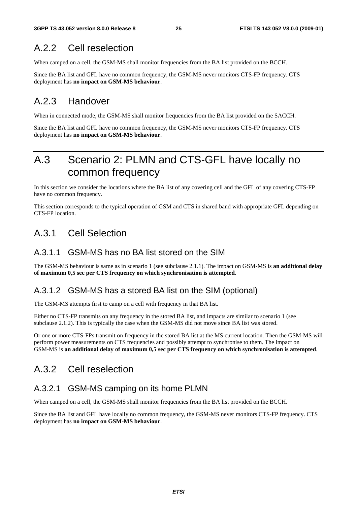## A.2.2 Cell reselection

When camped on a cell, the GSM-MS shall monitor frequencies from the BA list provided on the BCCH.

Since the BA list and GFL have no common frequency, the GSM-MS never monitors CTS-FP frequency. CTS deployment has **no impact on GSM-MS behaviour**.

### A.2.3 Handover

When in connected mode, the GSM-MS shall monitor frequencies from the BA list provided on the SACCH.

Since the BA list and GFL have no common frequency, the GSM-MS never monitors CTS-FP frequency. CTS deployment has **no impact on GSM-MS behaviour**.

## A.3 Scenario 2: PLMN and CTS-GFL have locally no common frequency

In this section we consider the locations where the BA list of any covering cell and the GFL of any covering CTS-FP have no common frequency.

This section corresponds to the typical operation of GSM and CTS in shared band with appropriate GFL depending on CTS-FP location.

### A.3.1 Cell Selection

#### A.3.1.1 GSM-MS has no BA list stored on the SIM

The GSM-MS behaviour is same as in scenario 1 (see subclause 2.1.1). The impact on GSM-MS is **an additional delay of maximum 0,5 sec per CTS frequency on which synchronisation is attempted**.

#### A.3.1.2 GSM-MS has a stored BA list on the SIM (optional)

The GSM-MS attempts first to camp on a cell with frequency in that BA list.

Either no CTS-FP transmits on any frequency in the stored BA list, and impacts are similar to scenario 1 (see subclause 2.1.2). This is typically the case when the GSM-MS did not move since BA list was stored.

Or one or more CTS-FPs transmit on frequency in the stored BA list at the MS current location. Then the GSM-MS will perform power measurements on CTS frequencies and possibly attempt to synchronise to them. The impact on GSM-MS is **an additional delay of maximum 0,5 sec per CTS frequency on which synchronisation is attempted**.

### A.3.2 Cell reselection

#### A.3.2.1 GSM-MS camping on its home PLMN

When camped on a cell, the GSM-MS shall monitor frequencies from the BA list provided on the BCCH.

Since the BA list and GFL have locally no common frequency, the GSM-MS never monitors CTS-FP frequency. CTS deployment has **no impact on GSM-MS behaviour**.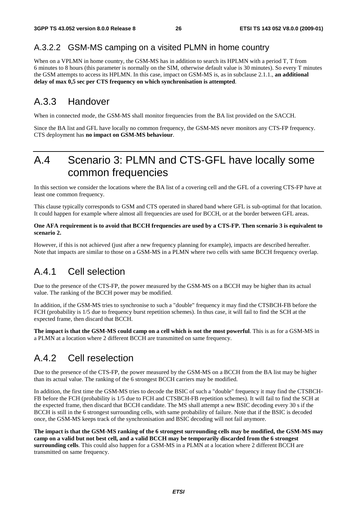#### A.3.2.2 GSM-MS camping on a visited PLMN in home country

When on a VPLMN in home country, the GSM-MS has in addition to search its HPLMN with a period T, T from 6 minutes to 8 hours (this parameter is normally on the SIM, otherwise default value is 30 minutes). So every T minutes the GSM attempts to access its HPLMN. In this case, impact on GSM-MS is, as in subclause 2.1.1., **an additional delay of max 0,5 sec per CTS frequency on which synchronisation is attempted**.

### A.3.3 Handover

When in connected mode, the GSM-MS shall monitor frequencies from the BA list provided on the SACCH.

Since the BA list and GFL have locally no common frequency, the GSM-MS never monitors any CTS-FP frequency. CTS deployment has **no impact on GSM-MS behaviour**.

## A.4 Scenario 3: PLMN and CTS-GFL have locally some common frequencies

In this section we consider the locations where the BA list of a covering cell and the GFL of a covering CTS-FP have at least one common frequency.

This clause typically corresponds to GSM and CTS operated in shared band where GFL is sub-optimal for that location. It could happen for example where almost all frequencies are used for BCCH, or at the border between GFL areas.

#### **One AFA requirement is to avoid that BCCH frequencies are used by a CTS-FP. Then scenario 3 is equivalent to scenario 2.**

However, if this is not achieved (just after a new frequency planning for example), impacts are described hereafter. Note that impacts are similar to those on a GSM-MS in a PLMN where two cells with same BCCH frequency overlap.

### A.4.1 Cell selection

Due to the presence of the CTS-FP, the power measured by the GSM-MS on a BCCH may be higher than its actual value. The ranking of the BCCH power may be modified.

In addition, if the GSM-MS tries to synchronise to such a "double" frequency it may find the CTSBCH-FB before the FCH (probability is 1/5 due to frequency burst repetition schemes). In thus case, it will fail to find the SCH at the expected frame, then discard that BCCH.

**The impact is that the GSM-MS could camp on a cell which is not the most powerful**. This is as for a GSM-MS in a PLMN at a location where 2 different BCCH are transmitted on same frequency.

### A.4.2 Cell reselection

Due to the presence of the CTS-FP, the power measured by the GSM-MS on a BCCH from the BA list may be higher than its actual value. The ranking of the 6 strongest BCCH carriers may be modified.

In addition, the first time the GSM-MS tries to decode the BSIC of such a "double" frequency it may find the CTSBCH-FB before the FCH (probability is 1/5 due to FCH and CTSBCH-FB repetition schemes). It will fail to find the SCH at the expected frame, then discard that BCCH candidate. The MS shall attempt a new BSIC decoding every 30 s if the BCCH is still in the 6 strongest surrounding cells, with same probability of failure. Note that if the BSIC is decoded once, the GSM-MS keeps track of the synchronisation and BSIC decoding will not fail anymore.

**The impact is that the GSM-MS ranking of the 6 strongest surrounding cells may be modified, the GSM-MS may camp on a valid but not best cell, and a valid BCCH may be temporarily discarded from the 6 strongest surrounding cells**. This could also happen for a GSM-MS in a PLMN at a location where 2 different BCCH are transmitted on same frequency.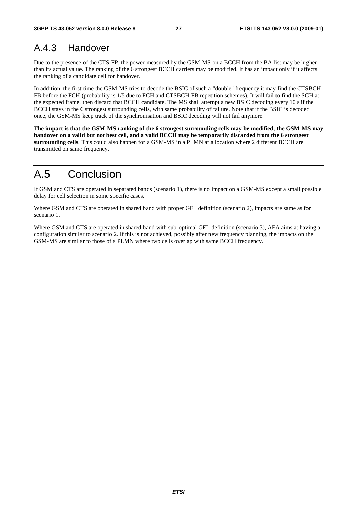## A.4.3 Handover

Due to the presence of the CTS-FP, the power measured by the GSM-MS on a BCCH from the BA list may be higher than its actual value. The ranking of the 6 strongest BCCH carriers may be modified. It has an impact only if it affects the ranking of a candidate cell for handover.

In addition, the first time the GSM-MS tries to decode the BSIC of such a "double" frequency it may find the CTSBCH-FB before the FCH (probability is 1/5 due to FCH and CTSBCH-FB repetition schemes). It will fail to find the SCH at the expected frame, then discard that BCCH candidate. The MS shall attempt a new BSIC decoding every 10 s if the BCCH stays in the 6 strongest surrounding cells, with same probability of failure. Note that if the BSIC is decoded once, the GSM-MS keep track of the synchronisation and BSIC decoding will not fail anymore.

**The impact is that the GSM-MS ranking of the 6 strongest surrounding cells may be modified, the GSM-MS may handover on a valid but not best cell, and a valid BCCH may be temporarily discarded from the 6 strongest surrounding cells**. This could also happen for a GSM-MS in a PLMN at a location where 2 different BCCH are transmitted on same frequency.

## A.5 Conclusion

If GSM and CTS are operated in separated bands (scenario 1), there is no impact on a GSM-MS except a small possible delay for cell selection in some specific cases.

Where GSM and CTS are operated in shared band with proper GFL definition (scenario 2), impacts are same as for scenario 1.

Where GSM and CTS are operated in shared band with sub-optimal GFL definition (scenario 3), AFA aims at having a configuration similar to scenario 2. If this is not achieved, possibly after new frequency planning, the impacts on the GSM-MS are similar to those of a PLMN where two cells overlap with same BCCH frequency.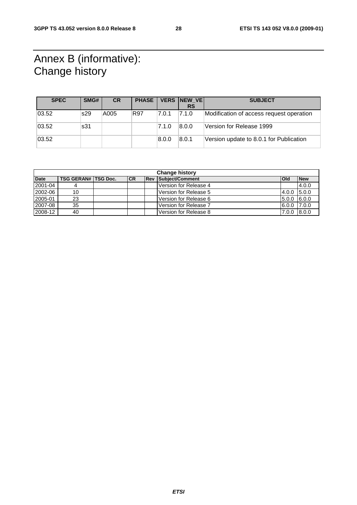## Annex B (informative): Change history

| <b>SPEC</b> | SMG# | <b>CR</b> | <b>PHASE</b> |       | VERS NEW VE | <b>SUBJECT</b>                           |
|-------------|------|-----------|--------------|-------|-------------|------------------------------------------|
|             |      |           |              |       | <b>RS</b>   |                                          |
| 03.52       | s29  | A005      | R97          | 7.0.1 | 7.1.0       | Modification of access request operation |
| 03.52       | s31  |           |              | 7.1.0 | 8.0.0       | Version for Release 1999                 |
| 03.52       |      |           |              | 8.0.0 | 8.0.1       | Version update to 8.0.1 for Publication  |

| <b>Change history</b> |                            |  |           |       |                       |               |            |
|-----------------------|----------------------------|--|-----------|-------|-----------------------|---------------|------------|
| <b>Date</b>           | <b>TSG GERAN# TSG Doc.</b> |  | <b>CR</b> | l Rev | Subject/Comment       | <b>Old</b>    | <b>New</b> |
| 2001-04               |                            |  |           |       | Version for Release 4 |               | 4.0.0      |
| 2002-06               | 10                         |  |           |       | Version for Release 5 | 4.0.0 5.0.0   |            |
| 2005-01               | 23                         |  |           |       | Version for Release 6 | $5.0.0$ 6.0.0 |            |
| 2007-08               | 35                         |  |           |       | Version for Release 7 | 6.0.0  7.0.0  |            |
| 2008-12               | 40                         |  |           |       | Version for Release 8 | $7.0.0$ 8.0.0 |            |